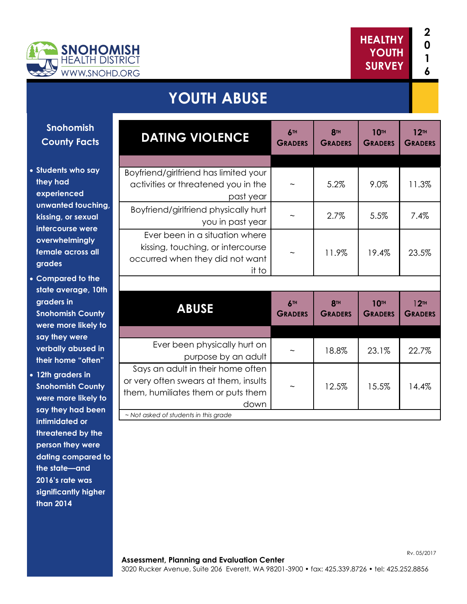

## **YOUTH ABUSE**

## **Snohomish County Facts**

- **Students who say they had experienced unwanted touching, kissing, or sexual intercourse were overwhelmingly female across all grades**
- **Compared to the state average, 10th graders in Snohomish County were more likely to say they were verbally abused in their home "often"**
- **12th graders in Snohomish County were more likely to say they had been intimidated or threatened by the person they were dating compared to the state—and 2016's rate was significantly higher than 2014**

| <b>DATING VIOLENCE</b>                                                                                                   | 6TH<br><b>GRADERS</b> | <b>8TH</b><br><b>GRADERS</b> | <b>10TH</b><br><b>GRADERS</b> | 12 <sup>TH</sup><br><b>GRADERS</b> |
|--------------------------------------------------------------------------------------------------------------------------|-----------------------|------------------------------|-------------------------------|------------------------------------|
|                                                                                                                          |                       |                              |                               |                                    |
| Boyfriend/girlfriend has limited your<br>activities or threatened you in the<br>past year                                |                       | 5.2%                         | 9.0%                          | 11.3%                              |
| Boyfriend/girlfriend physically hurt<br>you in past year                                                                 |                       | 2.7%                         | 5.5%                          | 7.4%                               |
| Ever been in a situation where<br>kissing, touching, or intercourse<br>occurred when they did not want<br>it to          |                       | 11.9%                        | 19.4%                         | 23.5%                              |
|                                                                                                                          |                       |                              |                               |                                    |
| <b>ABUSE</b>                                                                                                             | 6TH<br><b>GRADERS</b> | <b>8TH</b><br><b>GRADERS</b> | <b>10TH</b><br><b>GRADERS</b> | 12 <sup>TH</sup><br><b>GRADERS</b> |
|                                                                                                                          |                       |                              |                               |                                    |
| Ever been physically hurt on<br>purpose by an adult                                                                      |                       | 18.8%                        | 23.1%                         | 22.7%                              |
| Says an adult in their home often<br>or very often swears at them, insults<br>them, humiliates them or puts them<br>down |                       | 12.5%                        | 15.5%                         | 14.4%                              |
| ~ Not asked of students in this grade                                                                                    |                       |                              |                               |                                    |